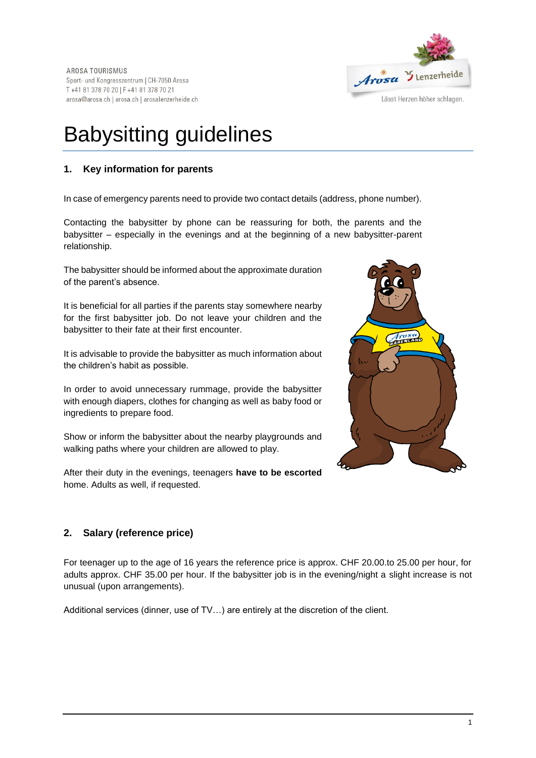

# Babysitting guidelines

## **1. Key information for parents**

In case of emergency parents need to provide two contact details (address, phone number).

Contacting the babysitter by phone can be reassuring for both, the parents and the babysitter – especially in the evenings and at the beginning of a new babysitter-parent relationship.

The babysitter should be informed about the approximate duration of the parent's absence.

It is beneficial for all parties if the parents stay somewhere nearby for the first babysitter job. Do not leave your children and the babysitter to their fate at their first encounter.

It is advisable to provide the babysitter as much information about the children's habit as possible.

In order to avoid unnecessary rummage, provide the babysitter with enough diapers, clothes for changing as well as baby food or ingredients to prepare food.

Show or inform the babysitter about the nearby playgrounds and walking paths where your children are allowed to play.

After their duty in the evenings, teenagers **have to be escorted** home. Adults as well, if requested.



## **2. Salary (reference price)**

For teenager up to the age of 16 years the reference price is approx. CHF 20.00.to 25.00 per hour, for adults approx. CHF 35.00 per hour. If the babysitter job is in the evening/night a slight increase is not unusual (upon arrangements).

Additional services (dinner, use of TV…) are entirely at the discretion of the client.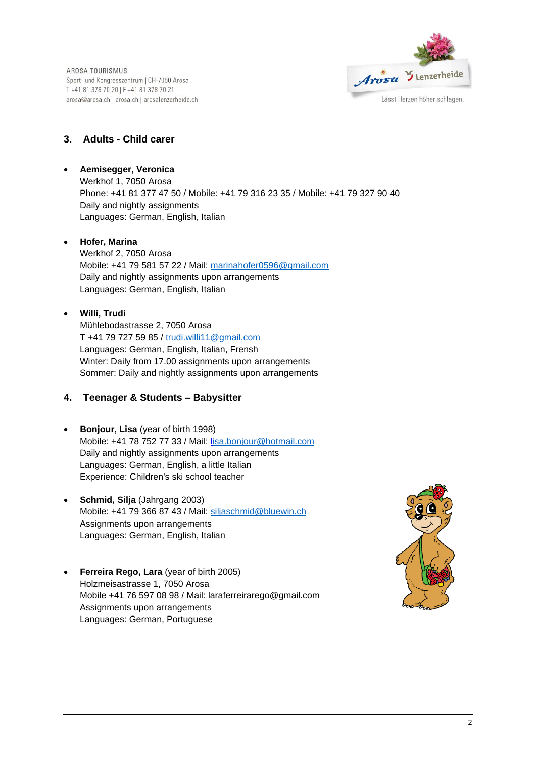AROSA TOURISMUS Sport- und Kongresszentrum | CH-7050 Arosa T +41 81 378 70 20 | F +41 81 378 70 21 arosa@arosa.ch | arosa.ch | arosalenzerheide.ch



## **3. Adults - Child carer**

• **Aemisegger, Veronica** Werkhof 1, 7050 Arosa Phone: +41 81 377 47 50 / Mobile: +41 79 316 23 35 / Mobile: +41 79 327 90 40 Daily and nightly assignments Languages: German, English, Italian

#### • **Hofer, Marina**

Werkhof 2, 7050 Arosa Mobile: +41 79 581 57 22 / Mail: [marinahofer0596@gmail.com](mailto:marinahofer0596@gmail.com) Daily and nightly assignments upon arrangements Languages: German, English, Italian

#### • **Willi, Trudi**

Mühlebodastrasse 2, 7050 Arosa T +41 79 727 59 85 / [trudi.willi11@gmail.com](mailto:trudi.willi11@gmail.com) Languages: German, English, Italian, Frensh Winter: Daily from 17.00 assignments upon arrangements Sommer: Daily and nightly assignments upon arrangements

## **4. Teenager & Students – Babysitter**

- **Bonjour, Lisa** (year of birth 1998) Mobile: +41 78 752 77 33 / Mail: [lisa.bonjour@hotmail.com](mailto:lisa.bonjour@hotmail.com) Daily and nightly assignments upon arrangements Languages: German, English, a little Italian Experience: Children's ski school teacher
- **Schmid, Silja** (Jahrgang 2003) Mobile: +41 79 366 87 43 / Mail: [siljaschmid@bluewin.ch](mailto:siljaschmid@bluewin.ch) Assignments upon arrangements Languages: German, English, Italian
- **Ferreira Rego, Lara** (year of birth 2005) Holzmeisastrasse 1, 7050 Arosa Mobile +41 76 597 08 98 / Mail: laraferreirarego@gmail.com Assignments upon arrangements Languages: German, Portuguese